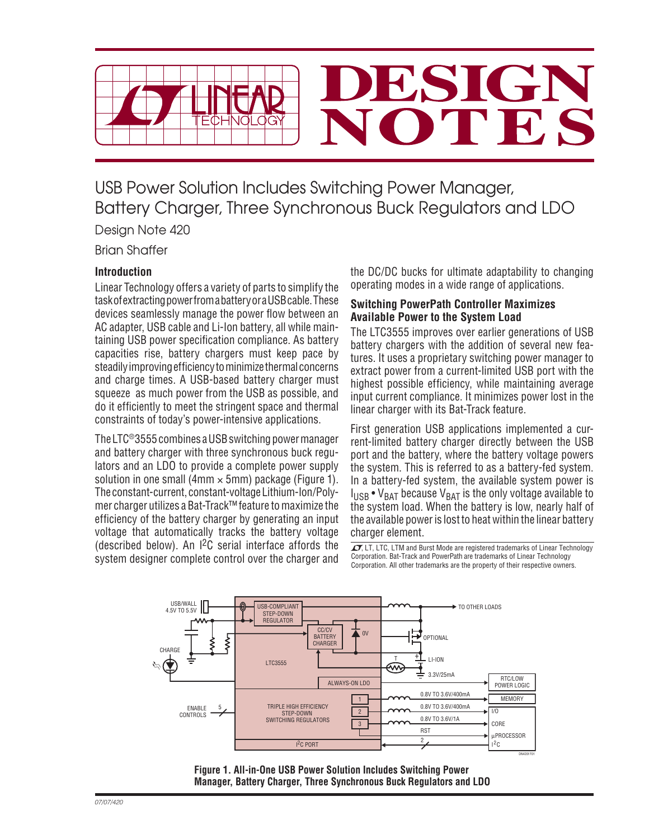

USB Power Solution Includes Switching Power Manager, Battery Charger, Three Synchronous Buck Regulators and LDO Design Note 420

Brian Shaffer

# **Introduction**

Linear Technology offers a variety of parts to simplify the task of extracting power from a battery or a USB cable. These devices seamlessly manage the power flow between an AC adapter, USB cable and Li-Ion battery, all while maintaining USB power specification compliance. As battery capacities rise, battery chargers must keep pace by steadily improving efficiency to minimize thermal concerns and charge times. A USB-based battery charger must squeeze as much power from the USB as possible, and do it efficiently to meet the stringent space and thermal constraints of today's power-intensive applications.

The LTC®3555 combines a USB switching power manager and battery charger with three synchronous buck regulators and an LDO to provide a complete power supply solution in one small (4mm  $\times$  5mm) package (Figure 1). The constant-current, constant-voltage Lithium-Ion/Polymer charger utilizes a Bat-Track™ feature to maximize the efficiency of the battery charger by generating an input voltage that automatically tracks the battery voltage (described below). An  $1^2C$  serial interface affords the system designer complete control over the charger and

the DC/DC bucks for ultimate adaptability to changing operating modes in a wide range of applications.

## **Switching PowerPath Controller Maximizes Available Power to the System Load**

The LTC3555 improves over earlier generations of USB battery chargers with the addition of several new features. It uses a proprietary switching power manager to extract power from a current-limited USB port with the highest possible efficiency, while maintaining average input current compliance. It minimizes power lost in the linear charger with its Bat-Track feature.

First generation USB applications implemented a current-limited battery charger directly between the USB port and the battery, where the battery voltage powers the system. This is referred to as a battery-fed system. In a battery-fed system, the available system power is  $I_{\text{IISR}} \cdot V_{\text{BAT}}$  because  $V_{\text{BAT}}$  is the only voltage available to the system load. When the battery is low, nearly half of the available power is lost to heat within the linear battery charger element.

 $\overline{LT}$ , LT, LTC, LTM and Burst Mode are registered trademarks of Linear Technology Corporation. Bat-Track and PowerPath are trademarks of Linear Technology Corporation. All other trademarks are the property of their respective owners.